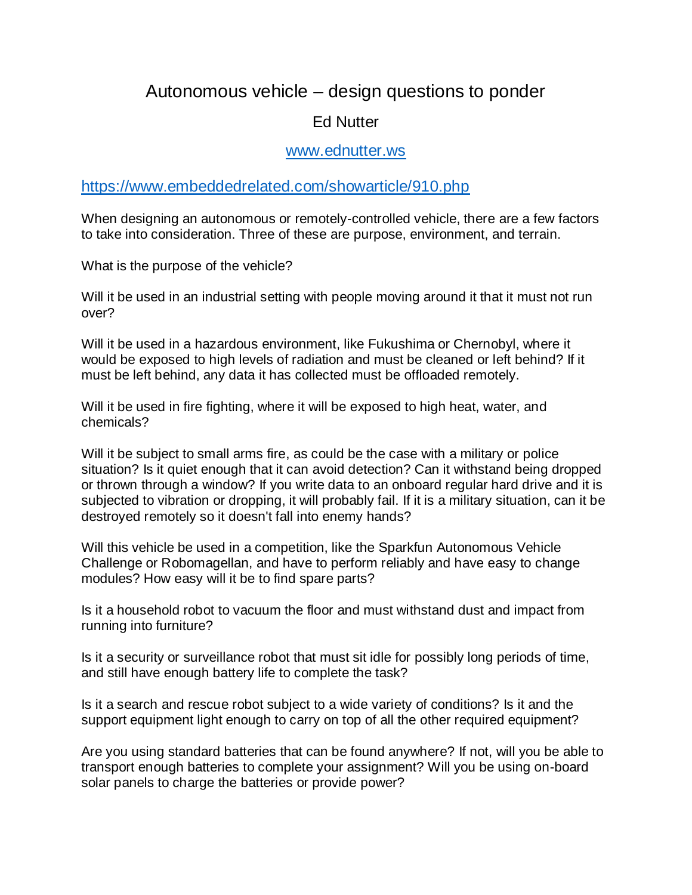## Autonomous vehicle – design questions to ponder

## Ed Nutter

## [www.ednutter.ws](http://www.ednutter.ws/)

<https://www.embeddedrelated.com/showarticle/910.php>

When designing an autonomous or remotely-controlled vehicle, there are a few factors to take into consideration. Three of these are purpose, environment, and terrain.

What is the purpose of the vehicle?

Will it be used in an industrial setting with people moving around it that it must not run over?

Will it be used in a hazardous environment, like Fukushima or Chernobyl, where it would be exposed to high levels of radiation and must be cleaned or left behind? If it must be left behind, any data it has collected must be offloaded remotely.

Will it be used in fire fighting, where it will be exposed to high heat, water, and chemicals?

Will it be subject to small arms fire, as could be the case with a military or police situation? Is it quiet enough that it can avoid detection? Can it withstand being dropped or thrown through a window? If you write data to an onboard regular hard drive and it is subjected to vibration or dropping, it will probably fail. If it is a military situation, can it be destroyed remotely so it doesn't fall into enemy hands?

Will this vehicle be used in a competition, like the Sparkfun Autonomous Vehicle Challenge or Robomagellan, and have to perform reliably and have easy to change modules? How easy will it be to find spare parts?

Is it a household robot to vacuum the floor and must withstand dust and impact from running into furniture?

Is it a security or surveillance robot that must sit idle for possibly long periods of time, and still have enough battery life to complete the task?

Is it a search and rescue robot subject to a wide variety of conditions? Is it and the support equipment light enough to carry on top of all the other required equipment?

Are you using standard batteries that can be found anywhere? If not, will you be able to transport enough batteries to complete your assignment? Will you be using on-board solar panels to charge the batteries or provide power?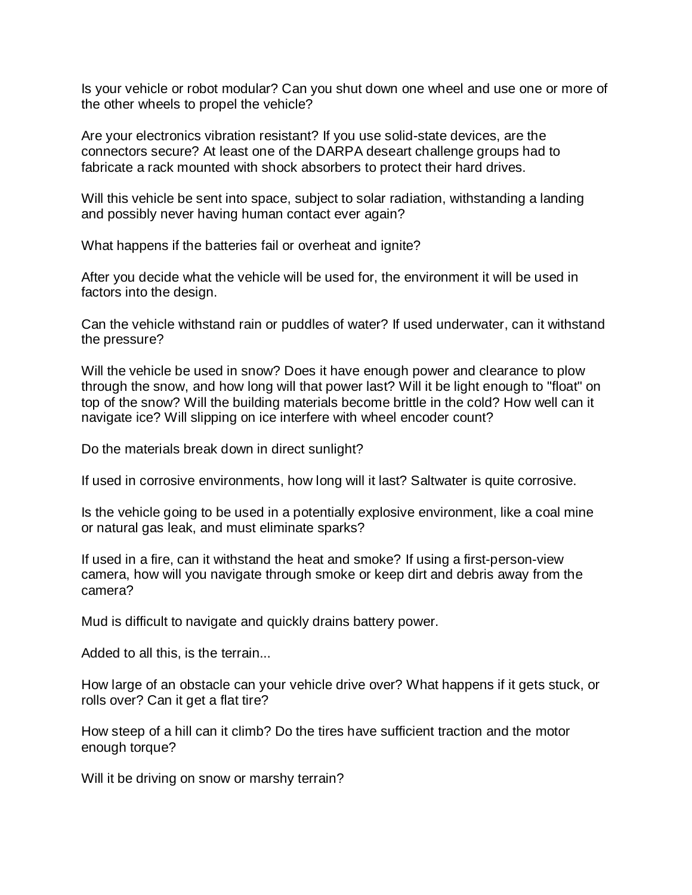Is your vehicle or robot modular? Can you shut down one wheel and use one or more of the other wheels to propel the vehicle?

Are your electronics vibration resistant? If you use solid-state devices, are the connectors secure? At least one of the DARPA deseart challenge groups had to fabricate a rack mounted with shock absorbers to protect their hard drives.

Will this vehicle be sent into space, subject to solar radiation, withstanding a landing and possibly never having human contact ever again?

What happens if the batteries fail or overheat and ignite?

After you decide what the vehicle will be used for, the environment it will be used in factors into the design.

Can the vehicle withstand rain or puddles of water? If used underwater, can it withstand the pressure?

Will the vehicle be used in snow? Does it have enough power and clearance to plow through the snow, and how long will that power last? Will it be light enough to "float" on top of the snow? Will the building materials become brittle in the cold? How well can it navigate ice? Will slipping on ice interfere with wheel encoder count?

Do the materials break down in direct sunlight?

If used in corrosive environments, how long will it last? Saltwater is quite corrosive.

Is the vehicle going to be used in a potentially explosive environment, like a coal mine or natural gas leak, and must eliminate sparks?

If used in a fire, can it withstand the heat and smoke? If using a first-person-view camera, how will you navigate through smoke or keep dirt and debris away from the camera?

Mud is difficult to navigate and quickly drains battery power.

Added to all this, is the terrain...

How large of an obstacle can your vehicle drive over? What happens if it gets stuck, or rolls over? Can it get a flat tire?

How steep of a hill can it climb? Do the tires have sufficient traction and the motor enough torque?

Will it be driving on snow or marshy terrain?